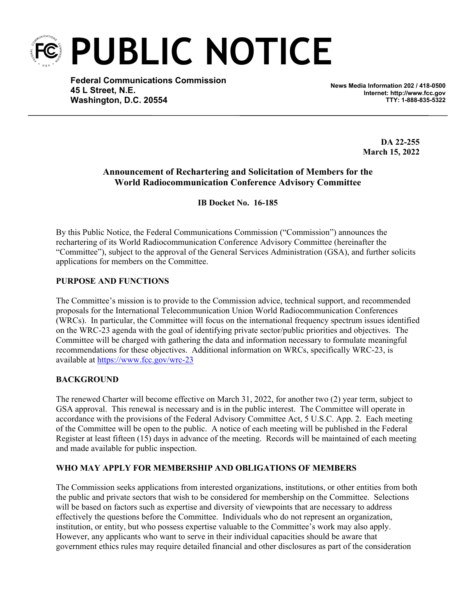

**Federal Communications Commission 45 L Street, N.E. Washington, D.C. 20554**

**News Media Information 202 / 418-0500 Internet: http://www.fcc.gov TTY: 1-888-835-5322**

> **DA 22-255 March 15, 2022**

# **Announcement of Rechartering and Solicitation of Members for the World Radiocommunication Conference Advisory Committee**

**IB Docket No. 16-185**

By this Public Notice, the Federal Communications Commission ("Commission") announces the rechartering of its World Radiocommunication Conference Advisory Committee (hereinafter the "Committee"), subject to the approval of the General Services Administration (GSA), and further solicits applications for members on the Committee.

# **PURPOSE AND FUNCTIONS**

The Committee's mission is to provide to the Commission advice, technical support, and recommended proposals for the International Telecommunication Union World Radiocommunication Conferences (WRCs). In particular, the Committee will focus on the international frequency spectrum issues identified on the WRC-23 agenda with the goal of identifying private sector/public priorities and objectives. The Committee will be charged with gathering the data and information necessary to formulate meaningful recommendations for these objectives. Additional information on WRCs, specifically WRC-23, is available at<https://www.fcc.gov/wrc-23>

### **BACKGROUND**

The renewed Charter will become effective on March 31, 2022, for another two (2) year term, subject to GSA approval. This renewal is necessary and is in the public interest. The Committee will operate in accordance with the provisions of the Federal Advisory Committee Act, 5 U.S.C. App. 2. Each meeting of the Committee will be open to the public. A notice of each meeting will be published in the Federal Register at least fifteen (15) days in advance of the meeting. Records will be maintained of each meeting and made available for public inspection.

### **WHO MAY APPLY FOR MEMBERSHIP AND OBLIGATIONS OF MEMBERS**

The Commission seeks applications from interested organizations, institutions, or other entities from both the public and private sectors that wish to be considered for membership on the Committee. Selections will be based on factors such as expertise and diversity of viewpoints that are necessary to address effectively the questions before the Committee. Individuals who do not represent an organization, institution, or entity, but who possess expertise valuable to the Committee's work may also apply. However, any applicants who want to serve in their individual capacities should be aware that government ethics rules may require detailed financial and other disclosures as part of the consideration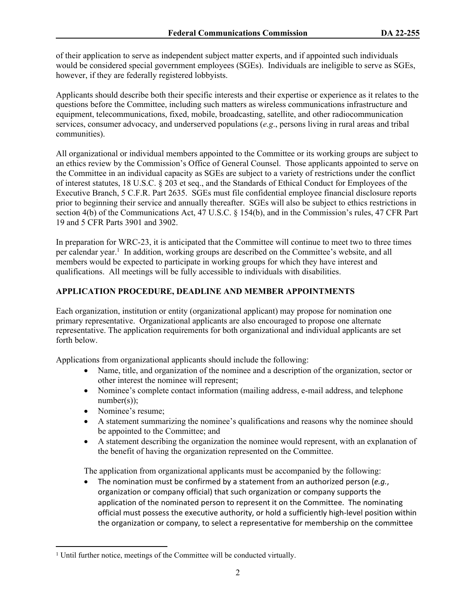of their application to serve as independent subject matter experts, and if appointed such individuals would be considered special government employees (SGEs). Individuals are ineligible to serve as SGEs, however, if they are federally registered lobbyists.

Applicants should describe both their specific interests and their expertise or experience as it relates to the questions before the Committee, including such matters as wireless communications infrastructure and equipment, telecommunications, fixed, mobile, broadcasting, satellite, and other radiocommunication services, consumer advocacy, and underserved populations (*e.g*., persons living in rural areas and tribal communities).

All organizational or individual members appointed to the Committee or its working groups are subject to an ethics review by the Commission's Office of General Counsel. Those applicants appointed to serve on the Committee in an individual capacity as SGEs are subject to a variety of restrictions under the conflict of interest statutes, 18 U.S.C. § 203 et seq., and the Standards of Ethical Conduct for Employees of the Executive Branch, 5 C.F.R. Part 2635. SGEs must file confidential employee financial disclosure reports prior to beginning their service and annually thereafter. SGEs will also be subject to ethics restrictions in section 4(b) of the Communications Act, 47 U.S.C. § 154(b), and in the Commission's rules, 47 CFR Part 19 and 5 CFR Parts 3901 and 3902.

In preparation for WRC-23, it is anticipated that the Committee will continue to meet two to three times per calendar year.<sup>1</sup> In addition, working groups are described on the Committee's website, and all members would be expected to participate in working groups for which they have interest and qualifications. All meetings will be fully accessible to individuals with disabilities.

# **APPLICATION PROCEDURE, DEADLINE AND MEMBER APPOINTMENTS**

Each organization, institution or entity (organizational applicant) may propose for nomination one primary representative. Organizational applicants are also encouraged to propose one alternate representative. The application requirements for both organizational and individual applicants are set forth below.

Applications from organizational applicants should include the following:

- Name, title, and organization of the nominee and a description of the organization, sector or other interest the nominee will represent;
- Nominee's complete contact information (mailing address, e-mail address, and telephone  $number(s)$ );
- Nominee's resume;
- A statement summarizing the nominee's qualifications and reasons why the nominee should be appointed to the Committee; and
- A statement describing the organization the nominee would represent, with an explanation of the benefit of having the organization represented on the Committee.

The application from organizational applicants must be accompanied by the following:

 The nomination must be confirmed by a statement from an authorized person (*e.g.*, organization or company official) that such organization or company supports the application of the nominated person to represent it on the Committee. The nominating official must possess the executive authority, or hold a sufficiently high-level position within the organization or company, to select a representative for membership on the committee

<sup>&</sup>lt;sup>1</sup> Until further notice, meetings of the Committee will be conducted virtually.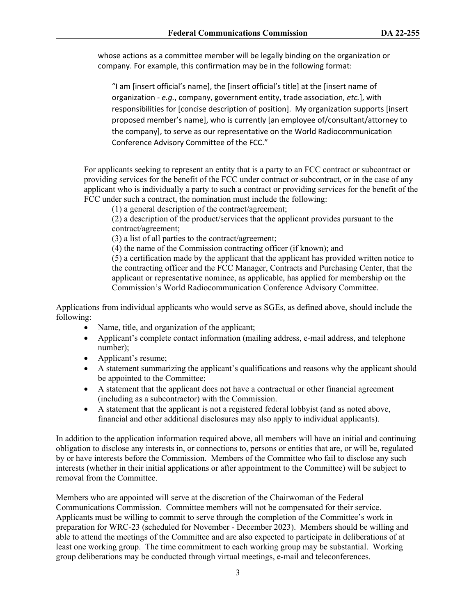whose actions as a committee member will be legally binding on the organization or company. For example, this confirmation may be in the following format:

"I am [insert official's name], the [insert official's title] at the [insert name of organization - *e.g.*, company, government entity, trade association, *etc.*], with responsibilities for [concise description of position]. My organization supports [insert proposed member's name], who is currently [an employee of/consultant/attorney to the company], to serve as our representative on the World Radiocommunication Conference Advisory Committee of the FCC."

For applicants seeking to represent an entity that is a party to an FCC contract or subcontract or providing services for the benefit of the FCC under contract or subcontract, or in the case of any applicant who is individually a party to such a contract or providing services for the benefit of the FCC under such a contract, the nomination must include the following:

(1) a general description of the contract/agreement;

(2) a description of the product/services that the applicant provides pursuant to the contract/agreement;

(3) a list of all parties to the contract/agreement;

(4) the name of the Commission contracting officer (if known); and

(5) a certification made by the applicant that the applicant has provided written notice to the contracting officer and the FCC Manager, Contracts and Purchasing Center, that the applicant or representative nominee, as applicable, has applied for membership on the Commission's World Radiocommunication Conference Advisory Committee.

Applications from individual applicants who would serve as SGEs, as defined above, should include the following:

- Name, title, and organization of the applicant;
- Applicant's complete contact information (mailing address, e-mail address, and telephone number);
- Applicant's resume;
- A statement summarizing the applicant's qualifications and reasons why the applicant should be appointed to the Committee;
- A statement that the applicant does not have a contractual or other financial agreement (including as a subcontractor) with the Commission.
- A statement that the applicant is not a registered federal lobbyist (and as noted above, financial and other additional disclosures may also apply to individual applicants).

In addition to the application information required above, all members will have an initial and continuing obligation to disclose any interests in, or connections to, persons or entities that are, or will be, regulated by or have interests before the Commission. Members of the Committee who fail to disclose any such interests (whether in their initial applications or after appointment to the Committee) will be subject to removal from the Committee.

Members who are appointed will serve at the discretion of the Chairwoman of the Federal Communications Commission. Committee members will not be compensated for their service. Applicants must be willing to commit to serve through the completion of the Committee's work in preparation for WRC-23 (scheduled for November - December 2023). Members should be willing and able to attend the meetings of the Committee and are also expected to participate in deliberations of at least one working group. The time commitment to each working group may be substantial. Working group deliberations may be conducted through virtual meetings, e-mail and teleconferences.